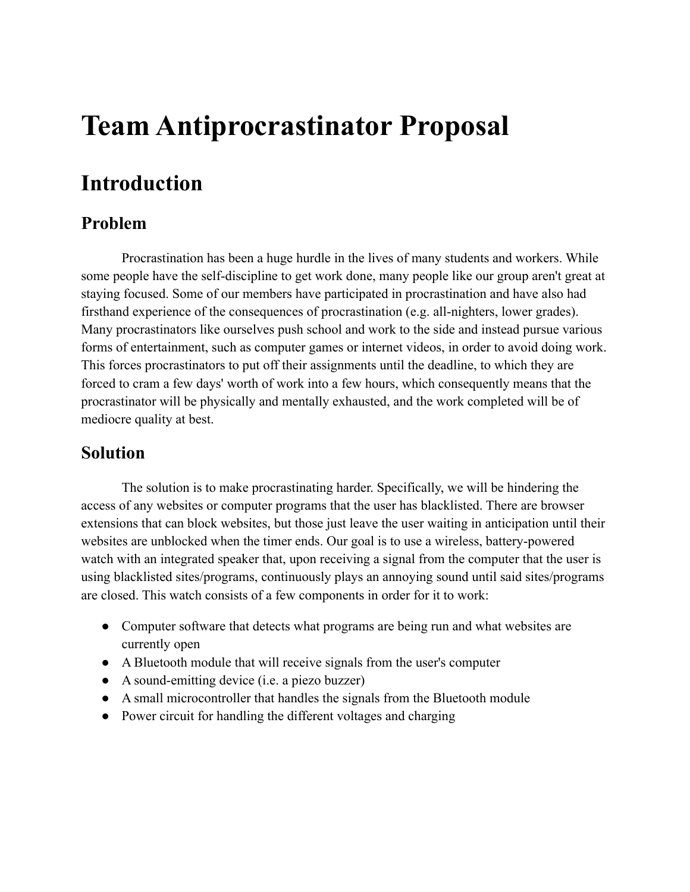# **Team Antiprocrastinator Proposal**

# **Introduction**

### **Problem**

Procrastination has been a huge hurdle in the lives of many students and workers. While some people have the self-discipline to get work done, many people like our group aren't great at staying focused. Some of our members have participated in procrastination and have also had firsthand experience of the consequences of procrastination (e.g. all-nighters, lower grades). Many procrastinators like ourselves push school and work to the side and instead pursue various forms of entertainment, such as computer games or internet videos, in order to avoid doing work. This forces procrastinators to put off their assignments until the deadline, to which they are forced to cram a few days' worth of work into a few hours, which consequently means that the procrastinator will be physically and mentally exhausted, and the work completed will be of mediocre quality at best.

### **Solution**

The solution is to make procrastinating harder. Specifically, we will be hindering the access of any websites or computer programs that the user has blacklisted. There are browser extensions that can block websites, but those just leave the user waiting in anticipation until their websites are unblocked when the timer ends. Our goal is to use a wireless, battery-powered watch with an integrated speaker that, upon receiving a signal from the computer that the user is using blacklisted sites/programs, continuously plays an annoying sound until said sites/programs are closed. This watch consists of a few components in order for it to work:

- Computer software that detects what programs are being run and what websites are currently open
- A Bluetooth module that will receive signals from the user's computer
- A sound-emitting device (i.e. a piezo buzzer)
- A small microcontroller that handles the signals from the Bluetooth module
- Power circuit for handling the different voltages and charging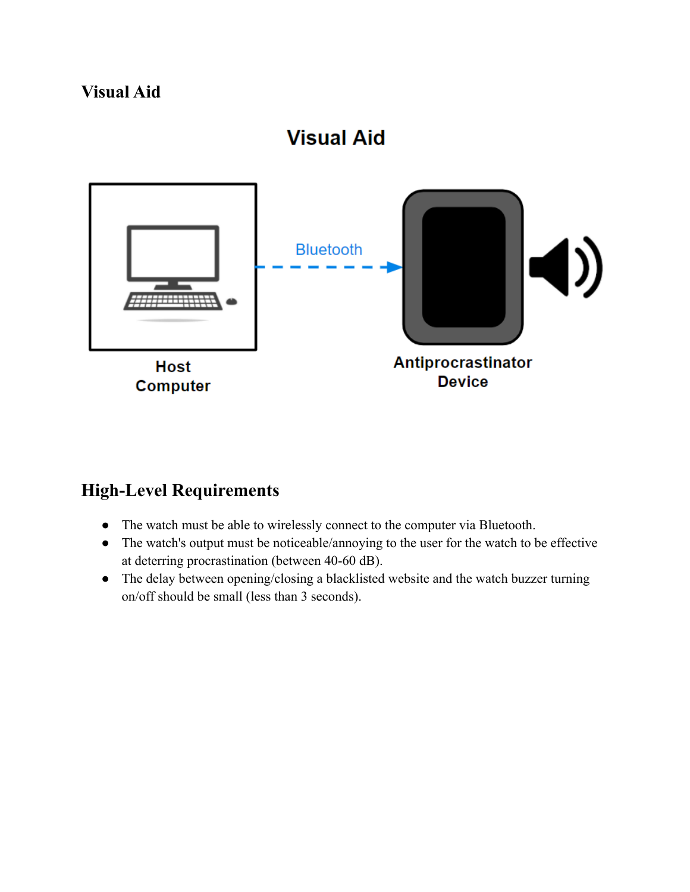### **Visual Aid**



### **High-Level Requirements**

- The watch must be able to wirelessly connect to the computer via Bluetooth.
- The watch's output must be noticeable/annoying to the user for the watch to be effective at deterring procrastination (between 40-60 dB).
- The delay between opening/closing a blacklisted website and the watch buzzer turning on/off should be small (less than 3 seconds).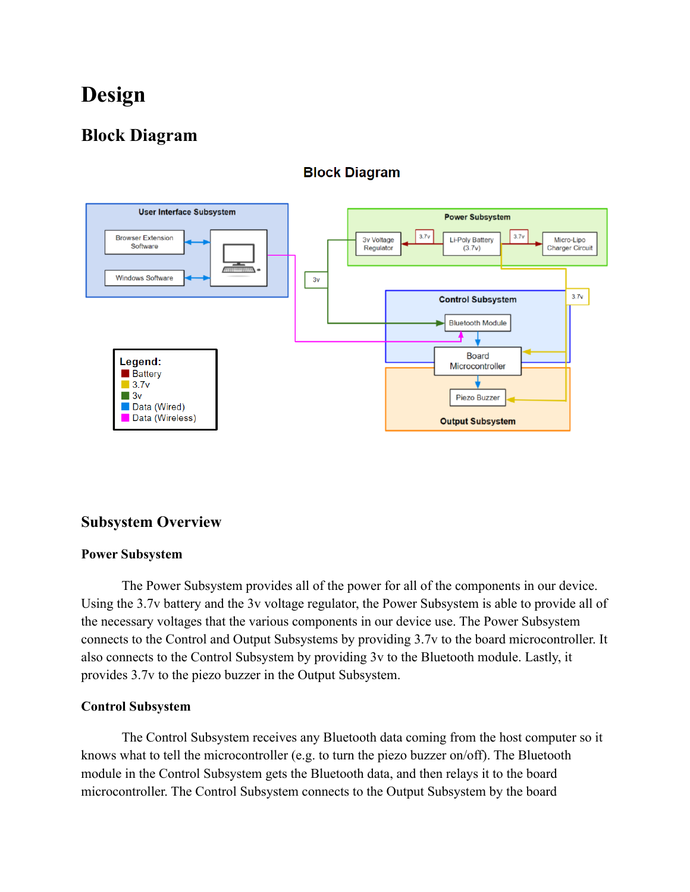# **Design**

### **Block Diagram**



#### **Block Diagram**

#### **Subsystem Overview**

#### **Power Subsystem**

The Power Subsystem provides all of the power for all of the components in our device. Using the 3.7v battery and the 3v voltage regulator, the Power Subsystem is able to provide all of the necessary voltages that the various components in our device use. The Power Subsystem connects to the Control and Output Subsystems by providing 3.7v to the board microcontroller. It also connects to the Control Subsystem by providing 3v to the Bluetooth module. Lastly, it provides 3.7v to the piezo buzzer in the Output Subsystem.

#### **Control Subsystem**

The Control Subsystem receives any Bluetooth data coming from the host computer so it knows what to tell the microcontroller (e.g. to turn the piezo buzzer on/off). The Bluetooth module in the Control Subsystem gets the Bluetooth data, and then relays it to the board microcontroller. The Control Subsystem connects to the Output Subsystem by the board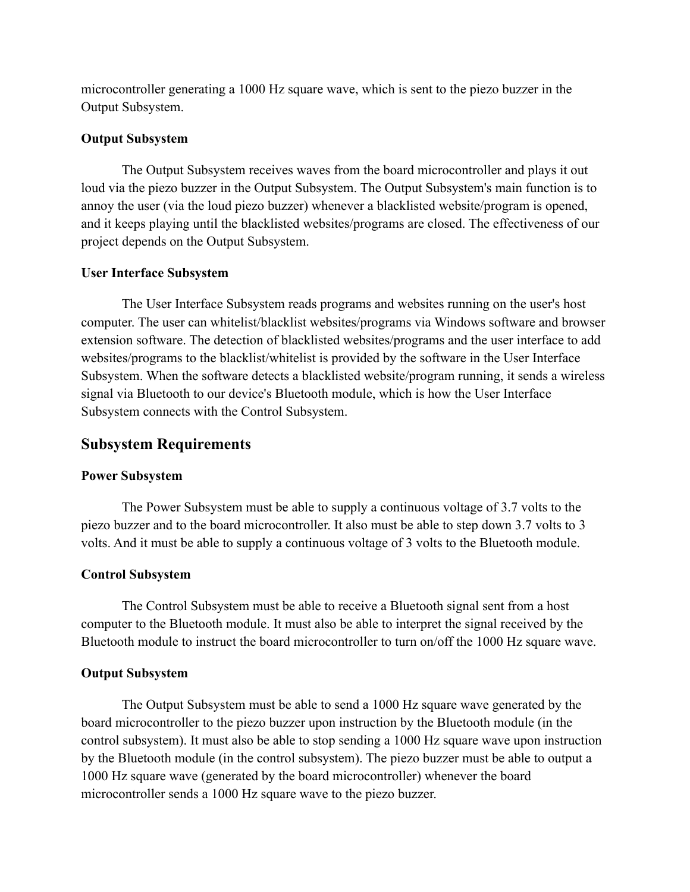microcontroller generating a 1000 Hz square wave, which is sent to the piezo buzzer in the Output Subsystem.

#### **Output Subsystem**

The Output Subsystem receives waves from the board microcontroller and plays it out loud via the piezo buzzer in the Output Subsystem. The Output Subsystem's main function is to annoy the user (via the loud piezo buzzer) whenever a blacklisted website/program is opened, and it keeps playing until the blacklisted websites/programs are closed. The effectiveness of our project depends on the Output Subsystem.

#### **User Interface Subsystem**

The User Interface Subsystem reads programs and websites running on the user's host computer. The user can whitelist/blacklist websites/programs via Windows software and browser extension software. The detection of blacklisted websites/programs and the user interface to add websites/programs to the blacklist/whitelist is provided by the software in the User Interface Subsystem. When the software detects a blacklisted website/program running, it sends a wireless signal via Bluetooth to our device's Bluetooth module, which is how the User Interface Subsystem connects with the Control Subsystem.

#### **Subsystem Requirements**

#### **Power Subsystem**

The Power Subsystem must be able to supply a continuous voltage of 3.7 volts to the piezo buzzer and to the board microcontroller. It also must be able to step down 3.7 volts to 3 volts. And it must be able to supply a continuous voltage of 3 volts to the Bluetooth module.

#### **Control Subsystem**

The Control Subsystem must be able to receive a Bluetooth signal sent from a host computer to the Bluetooth module. It must also be able to interpret the signal received by the Bluetooth module to instruct the board microcontroller to turn on/off the 1000 Hz square wave.

#### **Output Subsystem**

The Output Subsystem must be able to send a 1000 Hz square wave generated by the board microcontroller to the piezo buzzer upon instruction by the Bluetooth module (in the control subsystem). It must also be able to stop sending a 1000 Hz square wave upon instruction by the Bluetooth module (in the control subsystem). The piezo buzzer must be able to output a 1000 Hz square wave (generated by the board microcontroller) whenever the board microcontroller sends a 1000 Hz square wave to the piezo buzzer.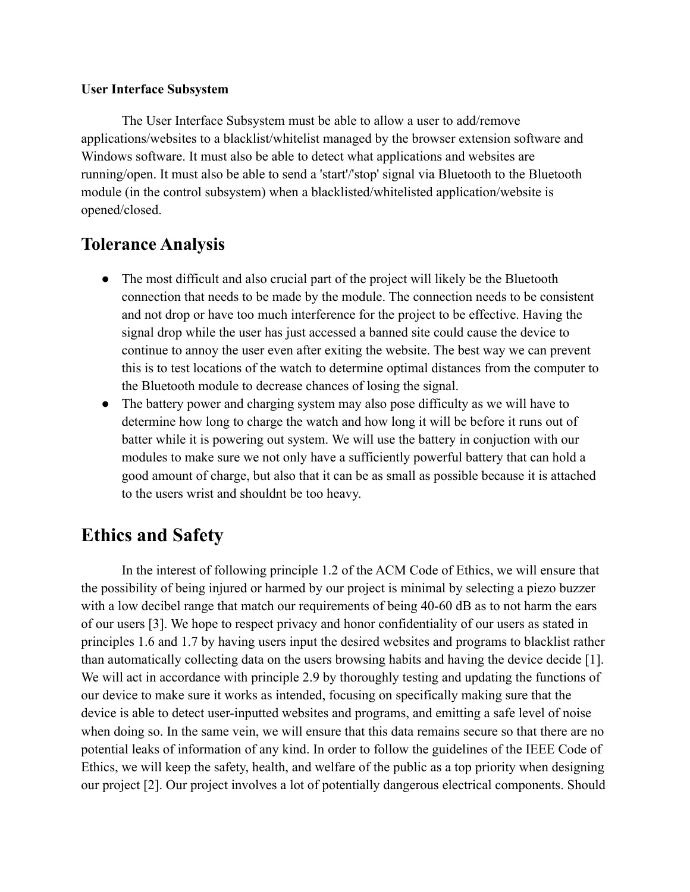#### **User Interface Subsystem**

The User Interface Subsystem must be able to allow a user to add/remove applications/websites to a blacklist/whitelist managed by the browser extension software and Windows software. It must also be able to detect what applications and websites are running/open. It must also be able to send a 'start'/'stop' signal via Bluetooth to the Bluetooth module (in the control subsystem) when a blacklisted/whitelisted application/website is opened/closed.

### **Tolerance Analysis**

- The most difficult and also crucial part of the project will likely be the Bluetooth connection that needs to be made by the module. The connection needs to be consistent and not drop or have too much interference for the project to be effective. Having the signal drop while the user has just accessed a banned site could cause the device to continue to annoy the user even after exiting the website. The best way we can prevent this is to test locations of the watch to determine optimal distances from the computer to the Bluetooth module to decrease chances of losing the signal.
- The battery power and charging system may also pose difficulty as we will have to determine how long to charge the watch and how long it will be before it runs out of batter while it is powering out system. We will use the battery in conjuction with our modules to make sure we not only have a sufficiently powerful battery that can hold a good amount of charge, but also that it can be as small as possible because it is attached to the users wrist and shouldnt be too heavy.

### **Ethics and Safety**

In the interest of following principle 1.2 of the ACM Code of Ethics, we will ensure that the possibility of being injured or harmed by our project is minimal by selecting a piezo buzzer with a low decibel range that match our requirements of being 40-60 dB as to not harm the ears of our users [3]. We hope to respect privacy and honor confidentiality of our users as stated in principles 1.6 and 1.7 by having users input the desired websites and programs to blacklist rather than automatically collecting data on the users browsing habits and having the device decide [1]. We will act in accordance with principle 2.9 by thoroughly testing and updating the functions of our device to make sure it works as intended, focusing on specifically making sure that the device is able to detect user-inputted websites and programs, and emitting a safe level of noise when doing so. In the same vein, we will ensure that this data remains secure so that there are no potential leaks of information of any kind. In order to follow the guidelines of the IEEE Code of Ethics, we will keep the safety, health, and welfare of the public as a top priority when designing our project [2]. Our project involves a lot of potentially dangerous electrical components. Should